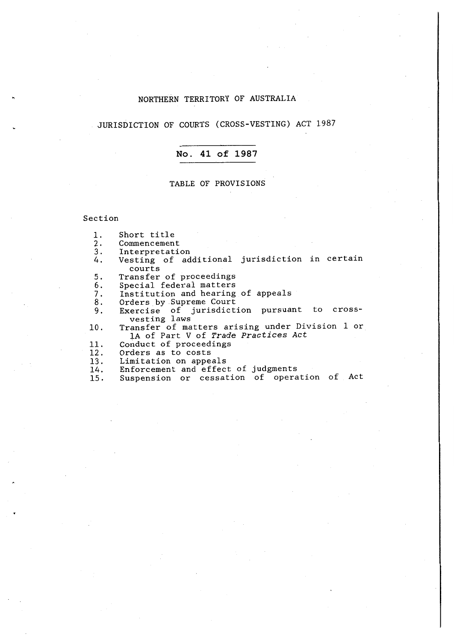# NORTHERN TERRITORY OF AUSTRALIA

JURISDICTION OF COURTS (CROSS-VESTING) ACT 1987

#### **No. 41 of 1987**

#### TABLE OF PROVISIONS

#### Section

- 1. Short title
- 
- 2. Commencement<br>3. Interpretati
- 3. Interpretation<br>4. Vesting of ad Vesting of additional jurisdiction in certain courts
- 5. Transfer of proceedings<br>6. Special federal matters
- 
- 6. Special federal matters<br>7. Institution and hearing 7. Institution and hearing of appeals
- 
- 8. Orders by Supreme Court<br>9. Exercise of jurisdict: Exercise of jurisdiction pursuant to crossvesting laws
- 10. Transfer of matters arising under Division 1 or lA of Part V of *Trade Practices Act*
- 11. Conduct of proceedings<br>12. Orders as to costs
- Orders as to costs
- 13. Limitation on appeals<br>14. Enforcement and effec
- 14. Enforcement and effect of judgments
- 15. Suspension or cessation of operation of Act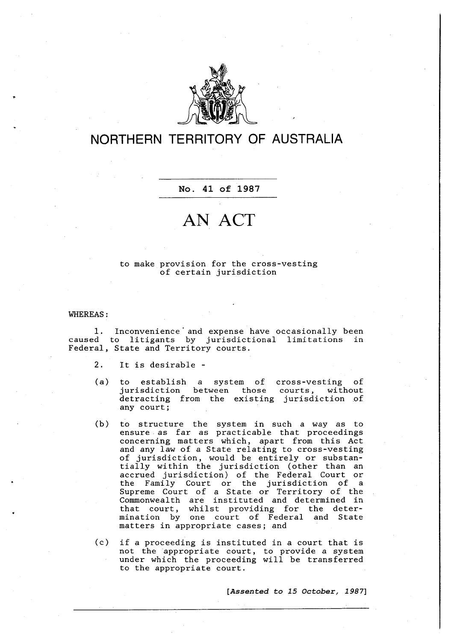

# **NORTHERN TERRITORY OF AUSTRALIA**

#### **No. 41 of 1987**

# **AN ACT**

#### to make provision for the cross-vesting of certain jurisdiction

#### WHEREAS:

1. Inconvenience' and expense have occasionally been caused to litigants by jurisdictional limitations in Federal, State and Territory courts.

2. It is desirable -

- (a) to establish *a* system of cross-vesting of jurisdiction between those courts, without detracting from the existing jurisdiction of any court;
- (b) to structure the system in such *a* way as to ensure as far as practicable that proceedings concerning matters which, apart from this Act and any law of *a* State relating to cross-vesting of jurisdiction, would be entirely or substanof jurisdiction, would be entirely of substant tially within the jurisdiction (other than an accrued jurisdiction) of the Federal Court or the Family Court or the jurisdiction of *a* Supreme Court of *a* State or Territory of the Commonweal th are instituted and determined in that court, whilst providing for the determination by one court of Federal and State matters in appropriate *cases;* and
- (c) if *a* proceeding is instituted in *a* court that is not the appropriate court, to provide *a* system under which the proceeding will be transferred to the appropriate court.

**[***Assented to 15 October, 1987***]**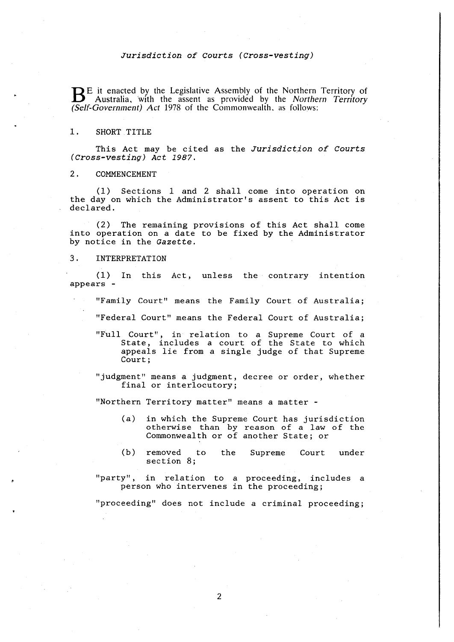BE it enacted by the Legislative Assembly of the Northern Territory of Australia, 'with the assent as provided by the *Northern Territory (Self-Government) Act* 1978 of the Commonwealth, as follows:

#### 1. SHORT TITLE

This Act may be cited as the *Jurisdiction of Courts (Cross-vesting) Act 1987.* 

#### 2. COMMENCEMENT

(1) Sections 1 and 2 shall come into operation on the day on which the Administrator's assent to this Act is declared.

(2) The remaining provisions of this Act shall come into operation on a date to be fixed by the Administrator by notice in the *Gazette.* 

## 3. INTERPRETATION

(1) In this Act, unless the contrary intention appears -

"Family Court" means the Family Court of Australia;

"Federal Court" means the Federal Court of Australia;

"Full Court", in relation to a Supreme Court of a State, includes a court of the State to which appeals lie from a single judge of that Supreme Court;

"judgment" means a judgment, decree or order, whether final or interlocutory;

"Northern Territory matter" means a matter -

- (a) in which the Supreme Court has jurisdiction otherwise than by reason of a law of the Commonwealth or of another State; or
- (b) removed to section 8; the Supreme Court under

"party", in relation to a proceeding, includes a person who intervenes in the proceeding;

"proceeding" does not include a criminal proceeding;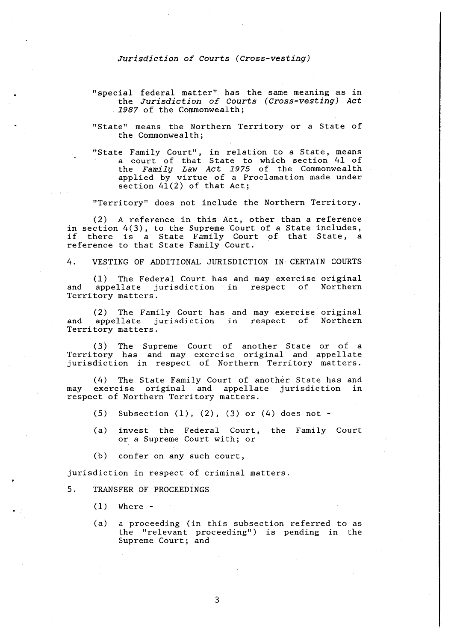- "special federal matter" has the same meaning as in the Jurisdiction of Courts (Cross-vesting) Act 1987 of the Commonwealth;
- "State" means the Northern Territory or *a* State of the Commonwealth;
- "State Family Court", in relation to a State, means a court of that State to which section 41 of the Family Law Act 1975 of the Commonwealth applied by virtue of *a* Proclamation made under section  $41(2)$  of that Act;

"Territory" does not include the Northern Territory.

(2) A reference in this Act, other than a reference in section 4(3), to the Supreme Court of *a* State includes, if there is a State Family Court of that State, a reference to that State Family Court.

4. VESTING OF ADDITIONAL JURISDICTION IN CERTAIN COURTS

(1) The Federal Court has and may exercise original and appellate jurisdiction in respect of Northern Territory matters.

(2) The Family Court has and may exercise original and appellate jurisdiction in respect of Territory matters.

( 3) The Territory has jurisdiction Supreme Court of another State and may exercise original and in respect of Northern Territory or of a appellate n.<br>matters.

(4) The State Family Court of another State has and may exercise original and appellate jurisdiction in respect of Northern Territory matters.

- (5) Subsection  $(1)$ ,  $(2)$ ,  $(3)$  or  $(4)$  does not -
- (a) invest the Federal Court, the Family Court or a Supreme Court with; or
- (b) confer on any such court,

jurisdiction in respect of criminal matters.

- 5. TRANSFER OF PROCEEDINGS
	- $(1)$  Where -
	- (a) a proceeding (in this subsection referred to as the "relevant proceeding") is pending in the Supreme Court; and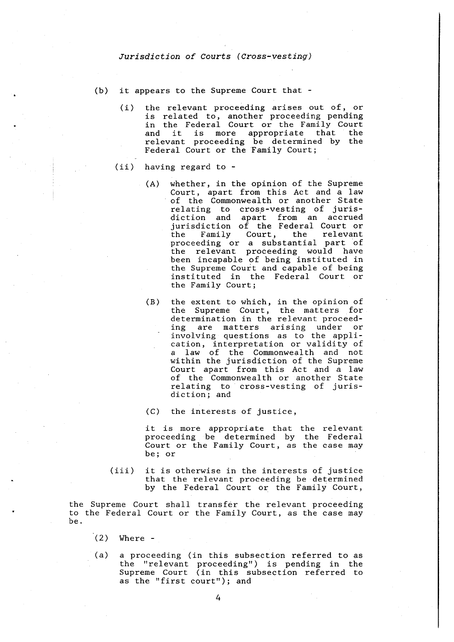- (b) it appears to the Supreme Court that
	- (i) the relevant proceeding arises out of, or is related to, another proceeding pending in the Federal Court or the Family Court In the rederar court of the raminy court<br>and it is more appropriate that the relevant proceeding be determined by the Federal Court or the Family Court;
	- (ii) having regard to
		- (A) whether, in the opinion of the Supreme Court, apart from this Act and *a* law of the Commonwealth or another State relating to cross-vesting of jurisdiction and apart from an accrued jurisdiction of the Federal Court or<br>the Family Court, the relevant the Family Court, the relevant proceeding or *a* substantial part of the relevant proceeding would have been incapable of being instituted in the Supreme Court and capable of being instituted in the Federal Court or the Family Court;
			- (B) the extent to which, in the opinion of the Supreme Court, the matters for determination in the relevant proceed-<br>ing are matters arising under or are matters arising under or involving questions as to the application, interpretation or validity of a law of the Commonwealth and not within the jurisdiction of the Supreme Court apart from this Act and *a* law of the Commonwealth or another State relating to cross-vesting of jurisdiction; and

(C) the interests of justice,

it is more appropriate that the relevant proceeding be determined by the Federal .<br>Court or the Family Court, as the case may be; or

(iii) it is otherwise in the interests of justice that the relevant proceeding be determined by the Federal Court or the Family Court,

the Supreme Court shall transfer the relevant proceeding to the Federal Court or the Family Court, as the case may be.

- (2) Where -
- (a) *a* proceeding (in this subsection referred to as the "relevant proceeding") is pending in the Supreme Court (in this subsection referred to as the "first court"); and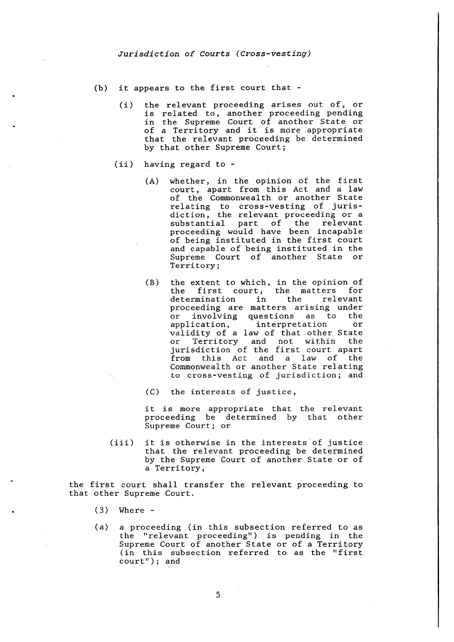- (b) it appears to the first court that
	- (i) the relevant proceeding arises out of, or is related to, another proceeding pending in the Supreme Court of another State or of a Territory and it is more .appropriate that the relevant proceeding be determined by that other Supreme Court;
	- (ii) having regard to
		- (A) whether, in the opinion of the first court, apart from this Act and a law of the Commonweal th or another State relating to cross-vesting of juris-<br>diction, the relevant proceeding or a diction, the relevant proceeding or *a* substantial part of the relevant proceeding would have been incapable of being instituted in the first court and capable of being instituted in the Supreme Court of another State or Territory;
		- (B) the extent to which, in the opinion of the first court, the matters for determination in the relevant proceeding are matters arising under or involving questions as to the<br>application, interpretation or application, interpretation or validity of a law of that other State or Territory and not within the jurisdiction of the first court apart from this Act and a law of the Commonwealth or another State relating to cross-vesting of jurisdiction; and
		- (C) the interests of justice,

it is more appropriate that the relevant proceeding be determined by that other Supreme Court; or

(iii) it is otherwise in the interests of justice that the relevant proceeding be determined by the Supreme Court of another State or of a Territory,

the first court shall transfer the relevant proceeding to that other Supreme Court.

- (3) Where -
- (a) a proceeding (in this subsection referred to as the "relevant proceeding") is pending in the Supreme Court of another State or of a Territory (in this subsection referred to as the "first court"); and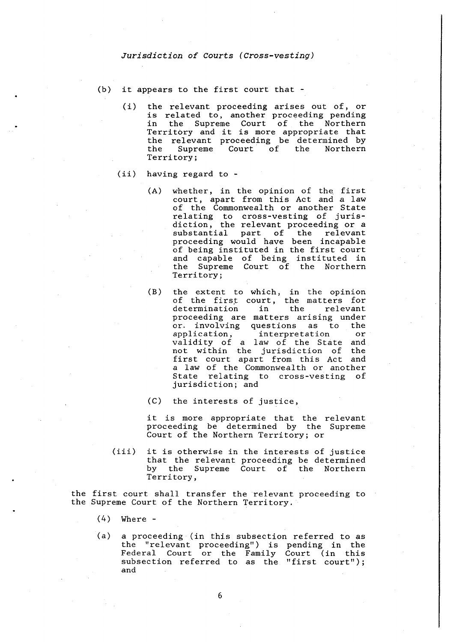- (b) it appears to the first court that
	- (i) the relevant proceeding arises out of, or is related to, another proceeding pending in the Supreme Court of the Northern Territory and it is more appropriate that the relevant proceeding be determined by<br>the Supreme Court of the Northern  $\text{Court}$  of Territory;
	- (ii) having regard to
		- (A) whether, in the opinion of the first court, apart from this Act and a law of the Commonwealth or another State relating to cross-vesting of jurisdiction, the relevant proceeding or a substantial part of the relevant proceeding would have been incapable of being instituted in the first court and capable of being instituted in the Supreme Court of the Northern Territory;
		- (B) the extent to which, in the opinion of the first court, the matters for<br>determination in the relevant determination proceeding are matters arising under or. involving questions as to the application, interpretation or validity of a law of the State and not within the jurisdiction of the first court apart from this Act and a law of the Commonwealth or another State relating to cross-vesting of jurisdiction; and
		- (C) the interests of justice,

it is more appropriate that the relevant proceeding be determined by the Supreme Court of the Northern Territory; or

(iii) it is otherwise in the interests of justice that the relevant proceeding be determined by the Supreme Court of the Northern Territory,

the first court shall transfer the relevant proceeding to the Supreme Court of the Northern Territory.

- (4) Where -
- (a) a proceeding (in this subsection referred to as the "relevant proceeding") is pending in the Federal Court or the Family Court (in this subsection referred to as the "first court"); and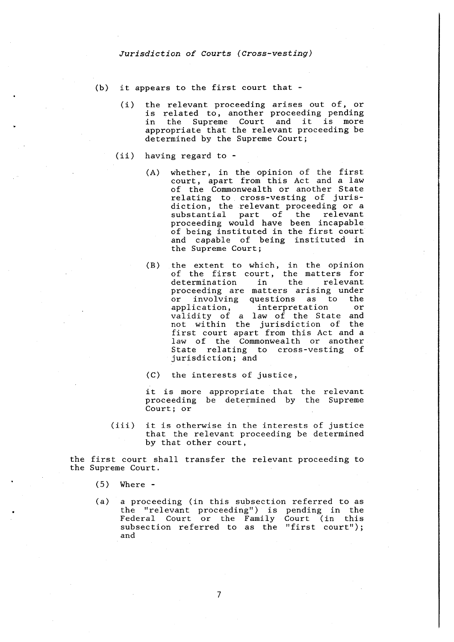- (b) it appears to the first court that
	- (i) the relevant proceeding arises out of, or is related to, another proceeding pending in the Supreme Court and it is more appropriate that the relevant proceeding be determined by the Supreme Court;
	- (ii) having regard to
		- (A) whether, in the opinion of the first court, apart from this Act and a law of the Commonwealth or another State relating to cross-vesting of jurisdiction, the relevant proceeding or a substantial part of the relevant proceeding would have been incapable of being instituted in the first court and capable of being instituted in the Supreme Court;
		- (B) the extent to which, in the opinion of the first court, the matters for determination in the relevant determination in the relevant<br>proceeding are matters arising under or involving questions as to the<br>application, interpretation or interpretation or validity of a law of the State and not within the jurisdiction of the first court apart from this Act and a law of the Commonwealth or another State relating to cross-vesting of jurisdiction; and
		- (C) the interests of justice,

it is more appropriate that the relevant proceeding be determined by the Supreme Court; or

(iii) it is otherwise in the interests of justice that the relevant proceeding be determined by that other court,

the first court shall transfer the relevant proceeding to the Supreme Court.

- (5) Where -
- (a) a proceeding (in this subsection referred to as the "relevant proceeding") is pending in the Federal Court or the Family Court (in this subsection referred to as the "first court"); and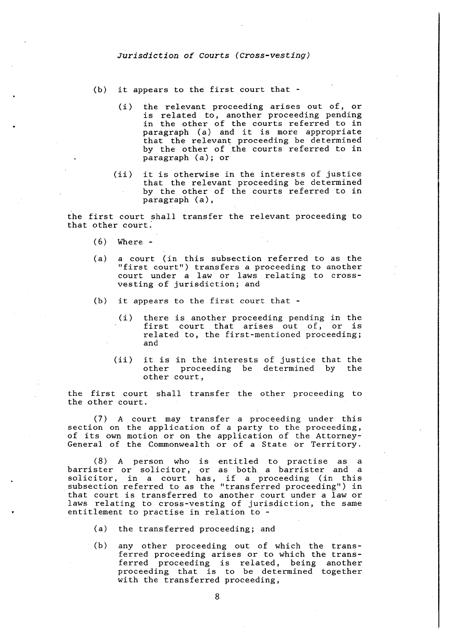- (b) it appears to the first court that
	- ( i) the relevant proceeding arises out of, or is related to, another proceeding pending in the other of the courts referred to in<br>paragraph (a) and it is more appropriate that the relevant proceeding be determined by the other of the courts referred to in paragraph (a); or
	- (ii) it is otherwise in the interests of justice that the relevant proceeding be determined by the other of the courts referred to in paragraph (a) ,

the first court shall transfer the relevant proceeding to that other court:

- (6) Where -
- (a) a court (in this subsection referred to as the "first court") transfers a proceeding to another court under a law or laws relating to crossvesting of jurisdiction; and
- (b) it appears to the first court that
	- (i) there is another proceeding pending in the first court that arises out of, or is related to, the first-mentioned proceeding; and
	- (ii) it is in the interests of justice that the other proceeding be determined by other court,

the first court shall transfer the other proceeding to the other court.

(7) A court may transfer a proceeding under this section on the application of a party to the proceeding, of its own motion or on the application of the Attorney-General of the Commonwealth or of a State or Territory.

(8) A person who is entitled to practise as a barrister or solicitor, or as both a barrister and a pairister of solicitor, of as both a barrister and a<br>solicitor, in a court has, if a proceeding (in this subsection referred to as the "transferred proceeding") in that court is transferred to another court under a law or laws relating to cross-vesting of jurisdiction, the same entitlement to practise in relation to -

- (a) the transferred proceeding; and
- (b) any other proceeding out of which the transany benefic proceeding one of antish the cranserred proceeding arrows of the mirem end crains proceeding that is to be determined together with the transferred proceeding,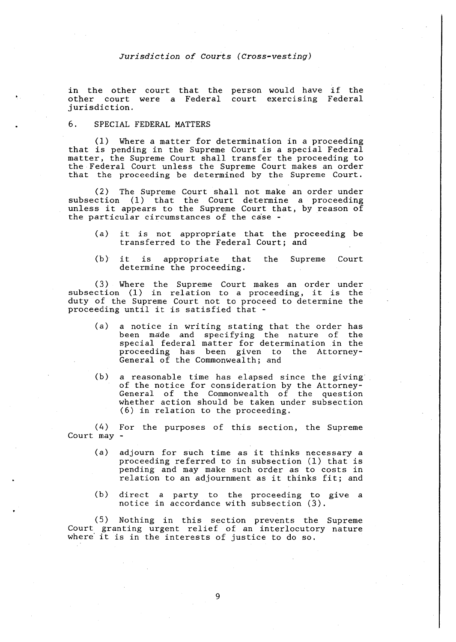in the other court other court were a jurisdiction. that the Federal person would have .<br>court exercising if the Federal

# 6. SPECIAL FEDERAL MATTERS

(1) Where a matter for determination in a proceeding that is pending in the Supreme Court is a special Federal matter, the Supreme Court shall transfer the proceeding to the Federal Court unless the Supreme Court makes an order that the proceeding be determined by the Supreme Court.

(2) The Supreme Court shall not make an order under subsection (1) that the Court determine a proceeding unless it appears to the Supreme Court that, by reason of the particular circumstances of the case -

- (a) it is not appropriate that the proceeding be transferred to the Federal Court; and
- (b) it is appropriate that the Supreme Court determine the proceeding,

( 3) Where the Supreme Court makes an order under subsection (1) in relation to a proceeding, it is the duty of the Supreme Court not to proceed to determine the proceeding until it is satisfied that -

- (a) a notice in writing stating that the order has been made and specifying the nature of the special federal matter for determination in the proceeding has been given to the Attorney-General of the Commonwealth; and
- (b) a reasonable time has elapsed since the giving of the notice for consideration by the Attorney-General of the Commonwealth of the question whether action should be taken under subsection (6) in relation to the proceeding.

(4) For the purposes of this section, the Supreme Court may -

- (a) adjourn for such time as it thinks necessary a proceeding referred to in subsection (1) that is pending and may make such order as to costs in relation to an adjournment as it thinks fit; and
- ( b) direct a party to the proceeding to give a notice in accordance with subsection (3).

(5) Nothing in this section prevents the Supreme Court granting urgent relief of an interlocutory nature where it is in the interests of justice to do so.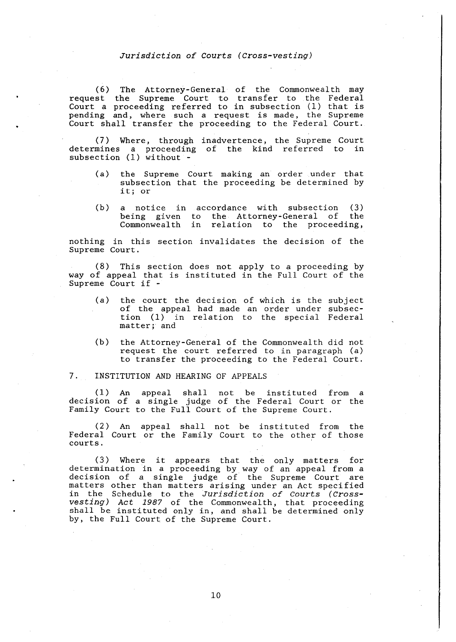(6) The Attorney-General of the Commonwealth may request the Supreme Court to transfer to the Federal Court a proceeding referred to in subsection (1) that is pending and, where such a request is made, the Supreme Court shall transfer the proceeding to the Federal Court.

( 7) Where, through inadvertence, the Supreme Court determines a proceeding subsection (1) without of the kind referred to in

- (a) the Supreme Court making an order under that subsection that the proceeding be determined by it; or
- (b) a notice in accordance with subsection (3) being given to the Attorney-General of the Commonwealth in relation to the proceeding,

nothing in this section invalidates the decision of the Supreme Court.

(8) This section does not apply to a proceeding by way of appeal that is instituted in the Full Court of the Supreme Court if -

- (a) the court the decision of which is the of the appeal had made an order under tion (1) in relation to the special matter; and subject subsec-Federal
- (b) the Attorney-General of the Commonwealth did not request the court referred to in paragraph (a) to transfer the proceeding to the Federal Court.

#### 7. INSTITUTION AND HEARING OF APPEALS

(1) An appeal shall not be instituted from a decision of a single judge of the Federal Court or the Family Court to the Full Court of the Supreme Court.

(2) An appeal shall not be instituted from the Federal Court or the Family Court to the other of those courts.

(3) Where it appears that the only matters for determination in a proceeding by way of an appeal from a decision of a single judge of the Supreme Court are matters other than matters arising under an Act specified in the Schedule to the Jurisdiction of Courts (Crossvesting) Act 1987 of the Commonwealth, that proceeding shall be instituted only in, and shall be determined only by, the Full Court of the Supreme Court.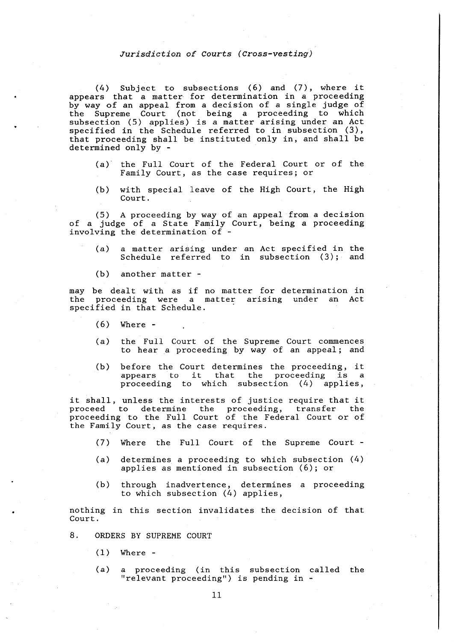(4) Subject to subsections (6) and (7), where it appears that a matter for determination in a proceeding by way of an appeal from a decision of a single judge of the Supreme Court (not being a proceeding to which subsection (5) applies) is a matter arising under an Act specified in the Schedule referred to in subsection (3), that proceeding shall be instituted only in, and shall be determined only by -

- (a) the Full Court of the Federal Court or of the Family Court, as the case requires; or
- $(b)$  with special leave of the High Court, the High Court.

(5) A proceeding by way of an appeal from a decision of a judge of a State Family Court, being a proceeding involving the determination of -

- (a) a matter arising under an Act specified in the Schedule referred to in subsection (3}; and
- (b) another matter -

may be dealt with as if no matter for determination in the proceeding were a matter arising under an Act specified in that Schedule.

- (6) Where -
- (a) the Full Court of the Supreme Court commences to hear a proceeding by way of an appeal; and
- (b) before the Court determines the proceeding, it appears to it that the proceeding is a proceeding to which subsection (4) applies,

it shall, unless the interests of justice require that it proceed to determine the proceeding, transfer the proceeding to the Full Court of the Federal Court or of the Family Court, as the case requires.

- (7) Where the Full Court of the Supreme Court -
- (a) determines a proceeding to which subsection (4) applies as mentioned in subsection (6); or
- (b) through inadvertence, determines a proceeding to which subsection (4) applies,

nothing in this section invalidates the decision of that Court.

- 8. ORDERS BY SUPREME COURT
	- $(1)$  Where -
	- (a) a proceeding (in this subsection called the "relevant proceeding") is pending in -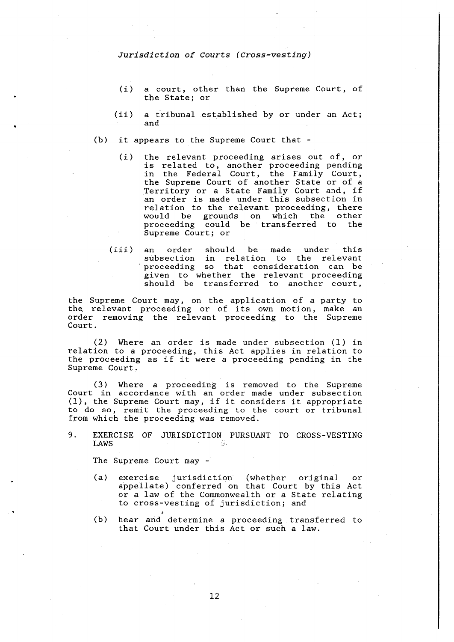- ( i) a *court,* other than the Supreme Court, of the State; or
- (ii) a tribunal established by or under an Act; and
- (b) it appears to the Supreme Court that
	- (i) the relevant proceeding arises out of, or is related to, another proceeding pending in the Federal Court, the Family Court, the Supreme Court of another State or of a Territory or a State Family Court and, if an order is made under this subsection in relation to the relevant proceeding, there<br>would be grounds on which the other be grounds on which proceeding could be transferred to the Supreme Court; or
	- (iii) an order should be made under this subsection in relation to the relevant proceeding so that consideration can be given to whether the relevant proceeding should be transferred to another court,

the Supreme Court may, on the application of a party to the. relevant proceeding or of its own motion, make an order removing the relevant proceeding to the Supreme Court.

(2) Where an order is made under subsection (1) in relation to a proceeding, this Act applies in relation to the proceeding as if it were a proceeding pending in the Supreme Court.

( 3) Where a proceeding is removed to the Supreme Court in accordance with an order made under subsection (1), the Supreme Court may, if it considers it appropriate to do so, remit the proceeding to the court or tribunal from which the proceeding was removed.

9. EXERCISE OF JURISDICTION PURSUANT TO CROSS-VESTING LAWS

The Supreme Court may -

- (a) exercise jurisdiction (whether original or appellate) conferred on that Court by this Act or a law of the Commonwealth or a State relating to cross-vesting of jurisdiction; and
- (b) hear and determine a proceeding transferred to that Court under this Act or such a law.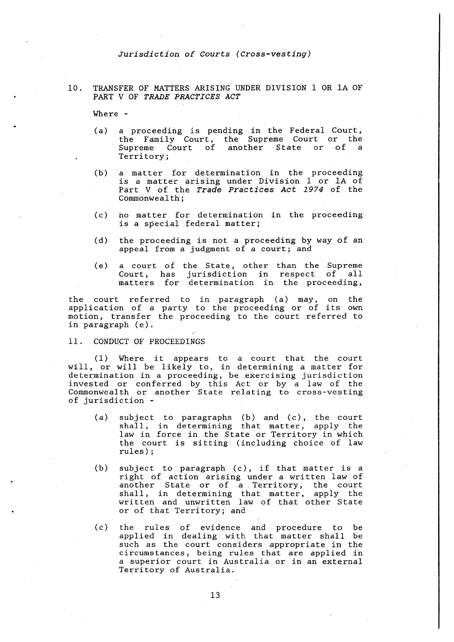10. TRANSFER OF MATTERS ARISING UNDER DIVISION 1 OR lA OF PART V OF *TRADE PRACTICES ACT* 

Where -

- (a) a proceeding is pending in the Federal Court, the Family Court, the Supreme Court or the Supreme Court of another State or of a Territory;
- (b) a matter for determination in the proceeding is a matter arising under Division 1 or 1A of Part V of the *Trade Practices Act 1974* of the Commonwealth;
- (c) no matter for determination in the proceeding is a special federal matter;
- (d) the proceeding is not a proceeding by way of an appeal from a judgment of a court; and
- (e) a court of the State, other than the Supreme Court, has jurisdiction in respect of all matters for determination in the proceeding,

the court referred to in paragraph (a) may, on the application of a party to the proceeding or of its own motion, transfer the proceeding to the court referred to in paragraph (e).

#### 11. CONDUCT OF PROCEEDINGS

(1) Where it appears to a court that the court will, or will be likely to, in determining a matter for determination in a proceeding, be exercising jurisdiction invested or conferred by this Act or by a law of the Commonwealth or another State relating to cross-vesting of jurisdiction -

- (a) subject to paragraphs (b) and (c), the court shall, in determining that matter, apply the law in force in the State or Territory in which the court is sitting (including choice of law rules);
- (b) subject to paragraph (c), if that matter is a right of action arising under a written law of another State or of a Territory, the court shall, in determining that matter, apply the written and unwritten law of that other State or of that Territory; and
- (c) the rules of evidence and procedure to be applied in dealing with that matter shall be such as the court considers appropriate in the circumstances, being rules that are applied in a superior court in Australia or in an external Territory of Australia.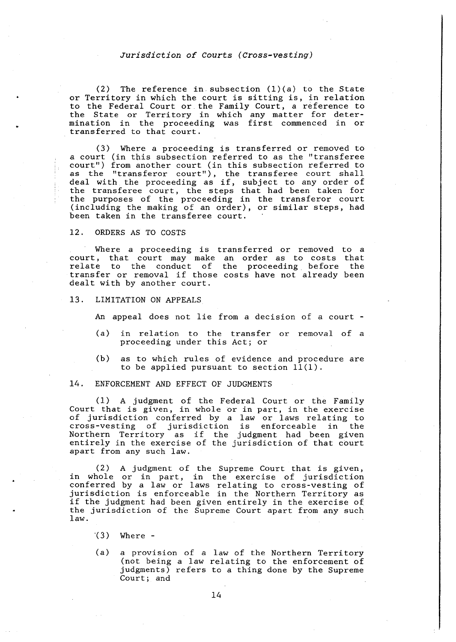(2) The reference in subsection  $(1)(a)$  to the State or Territory in which the court is sitting is, in relation to the Federal Court or the Family Court, a reference to the State or Territory in which any matter for determination in the proceeding was first commenced in or transferred to that court.

(3) Where a proceeding is transferred or removed to *a* court (in this subsection referred to as the "transferee court") from another court (in this subsection referred to as the "transferor court"), the transferee court shall deal with the proceeding as if, subject to any order of the transferee court, the steps that had been taken for the purposes of the proceeding in the transferor court (including the making of an order), or similar steps, had been taken in the transferee court.

#### 12. ORDERS AS TO COSTS

Where a proceeding is transferred or removed to a court, that court may make an order as to costs that relate to the conduct of the proceeding before the transfer or removal if those costs have not already been dealt with by another court.

13. LIMITATION ON APPEALS

An appeal does not lie from a decision of a court -

- (a) in relation to the transfer or removal of a proceeding under this Act; or
- (b) as to which rules of evidence and procedure are to be applied pursuant to section  $11(1)$ .

#### 14. ENFORCEMENT AND EFFECT OF JUDGMENTS

(1) A judgment of the Federal Court or the Family Court that is given, in whole or in part, in the exercise of jurisdiction conferred by a law or laws relating to cross-vesting of jurisdiction is enforceable in the Northern Territory as if the judgment had been given entirely in the exercise of the jurisdiction of that court apart from any such law.

(2) A judgment of the Supreme Court that is given, in whole or in part, in the exercise of jurisdiction conferred by a law or laws relating to cross-vesting of jurisdiction is enforceable in the Northern Territory as if the judgment had been given entirely in the exercise of the jurisdiction of the Supreme Court apart from any such law.

- $(3)$  Where -
- (a) a provision of a law of the Northern Territory (not being a law relating to the enforcement of judgments) refers to a thing done by the Supreme Court; and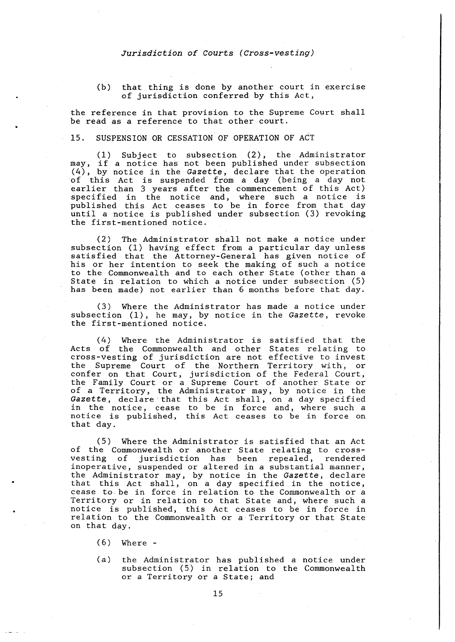#### (b) that thing is done by another court in exercise of jurisdiction conferred by this Act,

the reference in that provision to the Supreme Court shall be read as a reference to that other court.

#### 15. SUSPENSION OR CESSATION OF OPERATION OF ACT

(1) Subject to subsection (2), the Administrator may, if a notice has not been published under subsection (4), by notice in the *Gazette,* declare that the operation of this Act is suspended from a day (being a day not earlier than 3 years after the commencement of this Act) specified in the notice and, where such a notice is published this Act ceases to be in force from that day until a notice is published under subsection (3) revoking the first-mentioned notice.

(2) The Administrator shall not make a notice under subsection (1) having effect from a particular day unless satisfied that the Attorney-General has given notice of his or her intention to seek the making of such a notice to the Commonwealth and to each other State (other than a State in relation to which a notice under subsection (5) has been made) not earlier than 6 months before that day.

(3) Where the Administrator has made a notice under subsection (1), he may, by notice in the *Gazette,* revoke the first-mentioned notice.

(4) Where the Administrator is satisfied that the Acts of the Commonwealth and other States relating to cross-vesting of jurisdiction are not effective to invest the Supreme Court of the Northern Territory with, or confer on that Court, jurisdiction of the Federal Court, the Family Court or a Supreme Court of another State or of a Territory, the Administrator may, by notice in the *Gazette,* declare that this Act shall, on a day specified in the notice, cease to be in force and, where such a notice is published, this Act ceases to be in force on that day.

(5) Where the Administrator is satisfied that an Act of the Commonwealth or another State relating to crossvesting of jurisdiction has been repealed, rendered inoperative, suspended or altered in a substantial manner, the Administrator may, by notice in the *Gazette,* declare that this Act shall, on a day specified in the notice, cease to be in force in relation to the Commonwealth or a Territory or in relation to that State and, where such a notice is published, this Act ceases to be in force in relation to the Commonwealth or a Territory or that State on that day.

- (6) Where -
- (a) the Administrator has published a notice under subsection (5) in relation to the Commonwealth or a Territory or a State; and